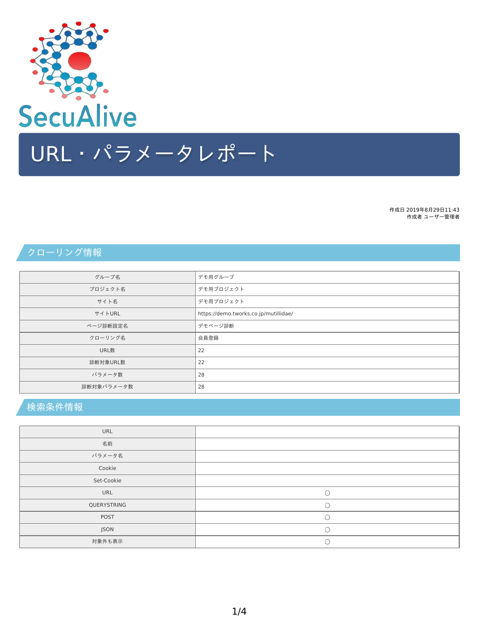クローリング情報

| グループ名      | デモ用グループ                               |
|------------|---------------------------------------|
| プロジェクト名    | デモ用プロジェクト                             |
| サイト名       | デモ用プロジェクト                             |
| サイトURL     | https://demo.tworks.co.jp/mutillidae/ |
| ページ診断設定名   | デモページ診断                               |
| クローリング名    | 会員登録                                  |
| URL数       | 22                                    |
| 診断対象URL数   | 22                                    |
| パラメータ数     | 28                                    |
| 診断対象パラメータ数 | 28                                    |

## 検索条件情報

| URL         |  |
|-------------|--|
| 名前          |  |
| パラメータ名      |  |
| Cookie      |  |
| Set-Cookie  |  |
| URL         |  |
| QUERYSTRING |  |
| POST        |  |
| JSON        |  |
| 対象外も表示      |  |



作成日 2019年8月29日11:43 作成者 ユーザー管理者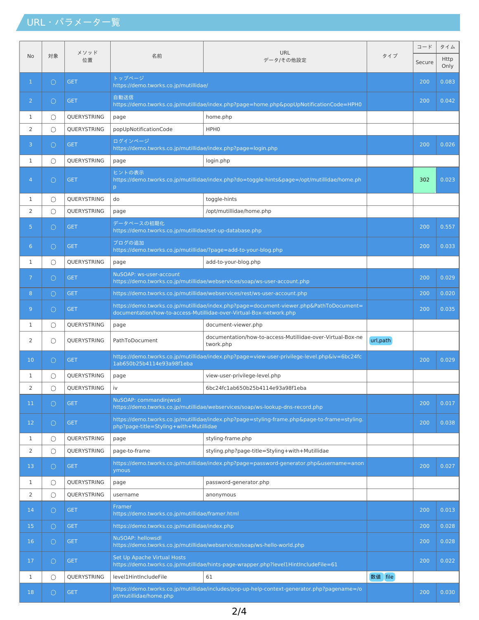## URL・パラメータ一覧

|                |                     |             | 名前                                                                                                                                                             | <b>URL</b><br>データ/その他設定                                                                  | タイプ       | $- F$  | タイム                 |
|----------------|---------------------|-------------|----------------------------------------------------------------------------------------------------------------------------------------------------------------|------------------------------------------------------------------------------------------|-----------|--------|---------------------|
| No             | メソッド<br>対象<br>位置    |             |                                                                                                                                                                |                                                                                          |           | Secure | <b>Http</b><br>Only |
| $\mathbf{1}$   | $\circ$             | <b>GET</b>  | トップページ<br>https://demo.tworks.co.jp/mutillidae/                                                                                                                |                                                                                          |           | 200    | 0.083               |
| $\overline{2}$ | $\bigcirc$          | <b>GET</b>  | 自動送信<br>https://demo.tworks.co.jp/mutillidae/index.php?page=home.php&popUpNotificationCode=HPH0                                                                |                                                                                          |           | 200    | 0.042               |
| 1              | O                   | QUERYSTRING | page<br>home.php                                                                                                                                               |                                                                                          |           |        |                     |
| 2              | $\circlearrowright$ | QUERYSTRING | popUpNotificationCode<br>HPH <sub>0</sub>                                                                                                                      |                                                                                          |           |        |                     |
| 3              | 0                   | <b>GET</b>  | ログインページ<br>https://demo.tworks.co.jp/mutillidae/index.php?page=login.php                                                                                       |                                                                                          |           | 200    | 0.026               |
| 1              | O                   | QUERYSTRING | login.php<br>page                                                                                                                                              |                                                                                          |           |        |                     |
| $\overline{4}$ | 0                   | <b>GET</b>  | ヒントの表示<br>https://demo.tworks.co.jp/mutillidae/index.php?do=toggle-hints&page=/opt/mutillidae/home.ph<br>p                                                     |                                                                                          |           | 302    | 0.023               |
| 1              | O                   | QUERYSTRING | do                                                                                                                                                             | toggle-hints                                                                             |           |        |                     |
| 2              | $\circlearrowright$ | QUERYSTRING | page                                                                                                                                                           | /opt/mutillidae/home.php                                                                 |           |        |                     |
| 5              | 0                   | <b>GET</b>  | データベースの初期化<br>https://demo.tworks.co.jp/mutillidae/set-up-database.php                                                                                         |                                                                                          |           | 200    | 0.557               |
| $6^{\circ}$    | $\circ$             | <b>GET</b>  | ブログの追加<br>https://demo.tworks.co.jp/mutillidae/?page=add-to-your-blog.php                                                                                      |                                                                                          |           | 200    | 0.033               |
| 1              | O                   | QUERYSTRING | page                                                                                                                                                           | add-to-your-blog.php                                                                     |           |        |                     |
| 7 <sup>1</sup> | 0                   | <b>GET</b>  | NuSOAP: ws-user-account<br>https://demo.tworks.co.jp/mutillidae/webservices/soap/ws-user-account.php                                                           |                                                                                          |           | 200    | 0.029               |
| 8              | $\circ$             | <b>GET</b>  | https://demo.tworks.co.jp/mutillidae/webservices/rest/ws-user-account.php                                                                                      |                                                                                          |           | 200    | 0.020               |
| 9 <sup>°</sup> | 0                   | <b>GET</b>  | https://demo.tworks.co.jp/mutillidae/index.php?page=document-viewer.php&PathToDocument=<br>documentation/how-to-access-Mutillidae-over-Virtual-Box-network.php |                                                                                          |           | 200    | 0.035               |
| 1              | O                   | QUERYSTRING | page                                                                                                                                                           | document-viewer.php                                                                      |           |        |                     |
| 2              | O                   | QUERYSTRING | PathToDocument                                                                                                                                                 | documentation/how-to-access-Mutillidae-over-Virtual-Box-ne<br>twork.php                  | url, path |        |                     |
| 10             | 0                   | <b>GET</b>  | https://demo.tworks.co.jp/mutillidae/index.php?page=view-user-privilege-level.php&iv=6bc24fc<br>1ab650b25b4114e93a98f1eba                                      |                                                                                          |           | 200    | 0.029               |
| 1              | O                   | QUERYSTRING | page                                                                                                                                                           | view-user-privilege-level.php                                                            |           |        |                     |
| 2              | Ο                   | QUERYSTRING | iv                                                                                                                                                             | 6bc24fc1ab650b25b4114e93a98f1eba                                                         |           |        |                     |
| 11             | $\bigcirc$          | <b>GET</b>  | NuSOAP: commandinjwsdl<br>https://demo.tworks.co.jp/mutillidae/webservices/soap/ws-lookup-dns-record.php                                                       |                                                                                          |           | 200    | 0.017               |
| 12             | $\bigcirc$          | <b>GET</b>  | https://demo.tworks.co.jp/mutillidae/index.php?page=styling-frame.php&page-to-frame=styling.<br>php?page-title=Styling+with+Mutillidae                         |                                                                                          |           | 200    | 0.038               |
| 1              | O                   | QUERYSTRING | page                                                                                                                                                           | styling-frame.php                                                                        |           |        |                     |
| 2              | $\bigcirc$          | QUERYSTRING | page-to-frame                                                                                                                                                  | styling.php?page-title=Styling+with+Mutillidae                                           |           |        |                     |
| 13             | $\circ$             | <b>GET</b>  | ymous                                                                                                                                                          | https://demo.tworks.co.jp/mutillidae/index.php?page=password-generator.php&username=anon |           | 200    | 0.027               |
| 1              | O                   | QUERYSTRING | page                                                                                                                                                           | password-generator.php                                                                   |           |        |                     |
| 2              | $\circlearrowright$ | QUERYSTRING | username                                                                                                                                                       | anonymous                                                                                |           |        |                     |
| 14             | $\circ$             | <b>GET</b>  | Framer<br>https://demo.tworks.co.jp/mutillidae/framer.html                                                                                                     |                                                                                          |           | 200    | 0.013               |
| 15             | $\bigcirc$          | <b>GET</b>  | https://demo.tworks.co.jp/mutillidae/index.php                                                                                                                 |                                                                                          |           | 200    | 0.028               |
| 16             | $\circ$             | <b>GET</b>  | NuSOAP: hellowsdl<br>https://demo.tworks.co.jp/mutillidae/webservices/soap/ws-hello-world.php                                                                  |                                                                                          |           | 200    | 0.028               |
| 17             | $\circ$             | <b>GET</b>  | Set Up Apache Virtual Hosts<br>https://demo.tworks.co.jp/mutillidae/hints-page-wrapper.php?level1HintlncludeFile=61                                            |                                                                                          |           | 200    | 0.022               |
| 1              | O                   | QUERYSTRING | level1HintIncludeFile                                                                                                                                          | 61                                                                                       | 数值 file   |        |                     |
| 18             | $\circ$             | <b>GET</b>  | https://demo.tworks.co.jp/mutillidae/includes/pop-up-help-context-generator.php?pagename=/o<br>pt/mutillidae/home.php                                          |                                                                                          |           | 200    | 0.030               |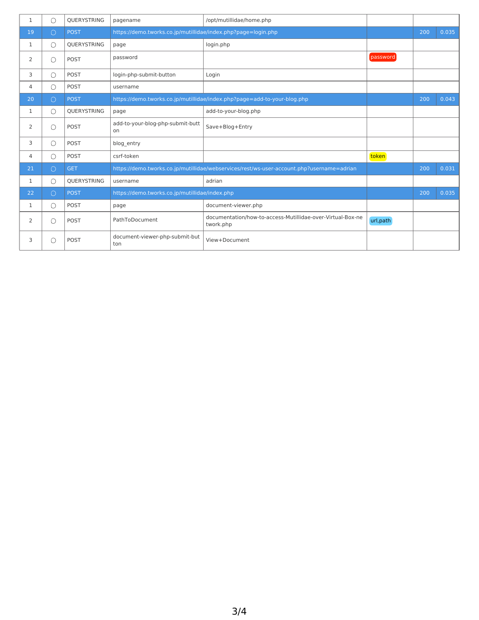| 1            | O          | <b>OUERYSTRING</b> | pagename                                                                                  | /opt/mutillidae/home.php                                                 |           |     |       |
|--------------|------------|--------------------|-------------------------------------------------------------------------------------------|--------------------------------------------------------------------------|-----------|-----|-------|
| 19           | $\bigcirc$ | <b>POST</b>        | https://demo.tworks.co.jp/mutillidae/index.php?page=login.php                             |                                                                          |           | 200 | 0.035 |
| 1            | O          | <b>OUERYSTRING</b> | page                                                                                      | login.php                                                                |           |     |       |
| 2            | O          | POST               | password                                                                                  |                                                                          | password  |     |       |
| 3            | O          | POST               | login-php-submit-button                                                                   | Login                                                                    |           |     |       |
| 4            | O          | POST               | username                                                                                  |                                                                          |           |     |       |
| 20           | $\bigcirc$ | <b>POST</b>        |                                                                                           | https://demo.tworks.co.jp/mutillidae/index.php?page=add-to-your-blog.php |           | 200 | 0.043 |
| $\mathbf{1}$ | O          | <b>OUERYSTRING</b> | page                                                                                      | add-to-your-blog.php                                                     |           |     |       |
| 2            | O          | POST               | add-to-your-blog-php-submit-butt<br>on                                                    | Save+Blog+Entry                                                          |           |     |       |
| 3            | O          | POST               | blog entry                                                                                |                                                                          |           |     |       |
| 4            | O          | POST               | csrf-token                                                                                |                                                                          | token     |     |       |
| 21           | $\bigcirc$ | <b>GET</b>         | https://demo.tworks.co.jp/mutillidae/webservices/rest/ws-user-account.php?username=adrian |                                                                          |           | 200 | 0.031 |
| 1            | O          | QUERYSTRING        | username                                                                                  | adrian                                                                   |           |     |       |
| 22           | $\bigcirc$ | <b>POST</b>        | https://demo.tworks.co.jp/mutillidae/index.php                                            |                                                                          |           | 200 | 0.035 |
| 1            | O          | POST               | page                                                                                      | document-viewer.php                                                      |           |     |       |
| 2            | O          | POST               | PathToDocument                                                                            | documentation/how-to-access-Mutillidae-over-Virtual-Box-ne<br>twork.php  | url, path |     |       |
| 3            | D          | POST               | document-viewer-php-submit-but<br>ton                                                     | View+Document                                                            |           |     |       |